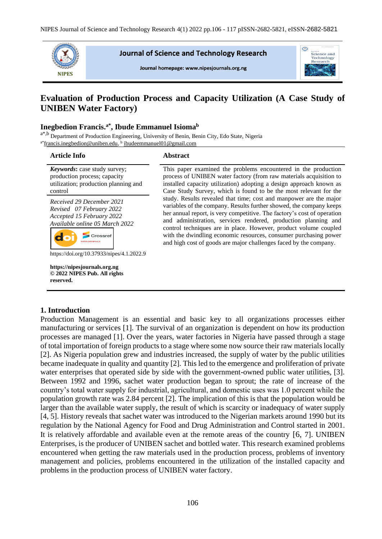

**Journal of Science and Technology Research** 

Journal homepage: www.nipesjournals.org.ng



# **Evaluation of Production Process and Capacity Utilization (A Case Study of UNIBEN Water Factory)**

# **Inegbedion Francis.a\*, Ibude Emmanuel Isioma<sup>b</sup>**

a<sup>\*,b</sup> Department of Production Engineering, University of Benin, Benin City, Edo State, Nigeria <sup>a\*</sup>[francis.inegbedion@uniben.edu,](mailto:francis.inegbedion@uniben.edu) <sup>b</sup> [ibudeemmanuel01@gmail.com](mailto:ibudeemmanuel01@gmail.com)

#### **Article Info Abstract** *Keywords***:** case study survey; This paper examined the problems encountered in the production production process; capacity process of UNIBEN water factory (from raw materials acquisition to utilization; production planning and installed capacity utilization) adopting a design approach known as control Case Study Survey, which is found to be the most relevant for the study. Results revealed that time; cost and manpower are the major *Received 29 December 2021* variables of the company. Results further showed, the company keeps *Revised 07 February 2022* her annual report, is very competitive. The factory's cost of operation *Accepted 15 February 2022* and administration, services rendered, production planning and *Available online 05 March 2022* control techniques are in place. However, product volume coupled Crossref with the dwindling economic resources, consumer purchasing power do and high cost of goods are major challenges faced by the company. https://doi.org/10.37933/nipes/4.1.2022.9 **https://nipesjournals.org.ng © 2022 NIPES Pub. All rights reserved.**

# **1. Introduction**

Production Management is an essential and basic key to all organizations processes either manufacturing or services [1]. The survival of an organization is dependent on how its production processes are managed [1]. Over the years, water factories in Nigeria have passed through a stage of total importation of foreign products to a stage where some now source their raw materials locally [2]. As Nigeria population grew and industries increased, the supply of water by the public utilities became inadequate in quality and quantity [2]. This led to the emergence and proliferation of private water enterprises that operated side by side with the government-owned public water utilities, [3]. Between 1992 and 1996, sachet water production began to sprout; the rate of increase of the country's total water supply for industrial, agricultural, and domestic uses was 1.0 percent while the population growth rate was 2.84 percent [2]. The implication of this is that the population would be larger than the available water supply, the result of which is scarcity or inadequacy of water supply [4, 5]. History reveals that sachet water was introduced to the Nigerian markets around 1990 but its regulation by the National Agency for Food and Drug Administration and Control started in 2001. It is relatively affordable and available even at the remote areas of the country [6, 7]. UNIBEN Enterprises, is the producer of UNIBEN sachet and bottled water. This research examined problems encountered when getting the raw materials used in the production process, problems of inventory management and policies, problems encountered in the utilization of the installed capacity and problems in the production process of UNIBEN water factory.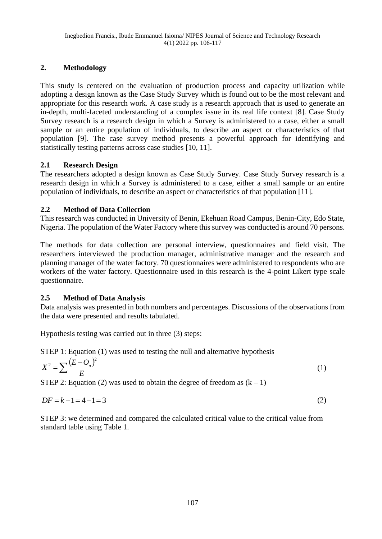# **2. Methodology**

This study is centered on the evaluation of production process and capacity utilization while adopting a design known as the Case Study Survey which is found out to be the most relevant and appropriate for this research work. A case study is a research approach that is used to generate an in-depth, multi-faceted understanding of a complex issue in its real life context [8]. Case Study Survey research is a research design in which a Survey is administered to a case, either a small sample or an entire population of individuals, to describe an aspect or characteristics of that population [9]. The case survey method presents a powerful approach for identifying and statistically testing patterns across case studies [10, 11].

# **2.1 Research Design**

The researchers adopted a design known as Case Study Survey. Case Study Survey research is a research design in which a Survey is administered to a case, either a small sample or an entire population of individuals, to describe an aspect or characteristics of that population [11].

# **2.2 Method of Data Collection**

This research was conducted in University of Benin, Ekehuan Road Campus, Benin-City, Edo State, Nigeria. The population of the Water Factory where this survey was conducted is around 70 persons.

The methods for data collection are personal interview, questionnaires and field visit. The researchers interviewed the production manager, administrative manager and the research and planning manager of the water factory. 70 questionnaires were administered to respondents who are workers of the water factory. Questionnaire used in this research is the 4-point Likert type scale questionnaire.

# **2.5 Method of Data Analysis**

Data analysis was presented in both numbers and percentages. Discussions of the observations from the data were presented and results tabulated.

Hypothesis testing was carried out in three (3) steps:

STEP 1: Equation (1) was used to testing the null and alternative hypothesis

$$
X^2 = \sum \frac{(E - O_n)^2}{E} \tag{1}
$$

STEP 2: Equation (2) was used to obtain the degree of freedom as  $(k - 1)$ 

$$
DF = k - 1 = 4 - 1 = 3 \tag{2}
$$

STEP 3: we determined and compared the calculated critical value to the critical value from standard table using Table 1.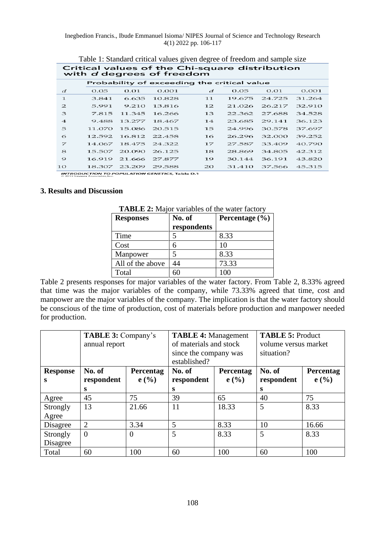Inegbedion Francis., Ibude Emmanuel Isioma/ NIPES Journal of Science and Technology Research 4(1) 2022 pp. 106-117

|                | Critical values of the Chi-square distribution<br>with d degrees of freedom |                                             |        |    |        |        |        |
|----------------|-----------------------------------------------------------------------------|---------------------------------------------|--------|----|--------|--------|--------|
|                |                                                                             | Probability of exceeding the critical value |        |    |        |        |        |
| đ              | 0.05                                                                        | 0.01                                        | 0.001  | đ  | 0.05   | 0.01   | 0.001  |
| $\mathbf{1}$   | 3.841                                                                       | 6.635                                       | 10.828 | 11 | 19.675 | 24.725 | 31.264 |
| $\mathfrak{D}$ | 5.991                                                                       | 9.210                                       | 13.816 | 12 | 21.026 | 26.217 | 32.910 |
| з              | 7.815                                                                       | 11.345                                      | 16.266 | 13 | 22.362 | 27.688 | 34.528 |
| $\overline{4}$ | 9.488                                                                       | 13.277                                      | 18.467 | 14 | 23.685 | 29.141 | 36.123 |
| 5              | 11.070                                                                      | 15.086                                      | 20.515 | 15 | 24.996 | 30.578 | 37.697 |
| 6              | 12.592                                                                      | 16.812                                      | 22.458 | 16 | 26.296 | 32.000 | 39.252 |
| Z              | 14.067                                                                      | 18.475                                      | 24.322 | 17 | 27.587 | 33.409 | 40.790 |
| $\mathcal{S}$  | 15.507                                                                      | 20.090                                      | 26.125 | 18 | 28.869 | 34.805 | 42.312 |
| 9              | 16.919                                                                      | 21.666                                      | 27.877 | 19 | 30.144 | 36.191 | 43.820 |
| 10             | 18.307                                                                      | 23.209                                      | 29.588 | 20 | 31.410 | 37.566 | 45.315 |

Table 1: Standard critical values given degree of freedom and sample size

**INTRODUCTION TO POPULATION GENETICS, Table D.1**<br>© 2013 Sinauer Associates, Inc.

### **3. Results and Discussion**

| <b>Responses</b> | No. of      | Percentage $(\% )$ |
|------------------|-------------|--------------------|
|                  | respondents |                    |
| Time             |             | 8.33               |
| Cost             |             | 10                 |
| Manpower         |             | 8.33               |
| All of the above | 14          | 73.33              |
| Total            |             | 100                |

**TABLE 2:** Major variables of the water factory

Table 2 presents responses for major variables of the water factory. From Table 2, 8.33% agreed that time was the major variables of the company, while 73.33% agreed that time, cost and manpower are the major variables of the company. The implication is that the water factory should be conscious of the time of production, cost of materials before production and manpower needed for production.

|                 | <b>TABLE 3: Company's</b><br>annual report |                | <b>TABLE 4: Management</b><br>of materials and stock<br>since the company was<br>established? |           | <b>TABLE 5: Product</b><br>volume versus market<br>situation? |           |
|-----------------|--------------------------------------------|----------------|-----------------------------------------------------------------------------------------------|-----------|---------------------------------------------------------------|-----------|
| <b>Response</b> | No. of                                     | Percentag      | No. of                                                                                        | Percentag | No. of                                                        | Percentag |
| s               | respondent                                 | $e($ %)        | respondent                                                                                    | e(%)      | respondent                                                    | e(%)      |
|                 | S                                          |                | S                                                                                             |           | S                                                             |           |
| Agree           | 45                                         | 75             | 39                                                                                            | 65        | 40                                                            | 75        |
| Strongly        | 13                                         | 21.66          | 11                                                                                            | 18.33     | 5                                                             | 8.33      |
| Agree           |                                            |                |                                                                                               |           |                                                               |           |
| Disagree        | $\overline{2}$                             | 3.34           | 5                                                                                             | 8.33      | 10                                                            | 16.66     |
| Strongly        | $\overline{0}$                             | $\overline{0}$ | 5                                                                                             | 8.33      | 5                                                             | 8.33      |
| Disagree        |                                            |                |                                                                                               |           |                                                               |           |
| Total           | 60                                         | 100            | 60                                                                                            | 100       | 60                                                            | 100       |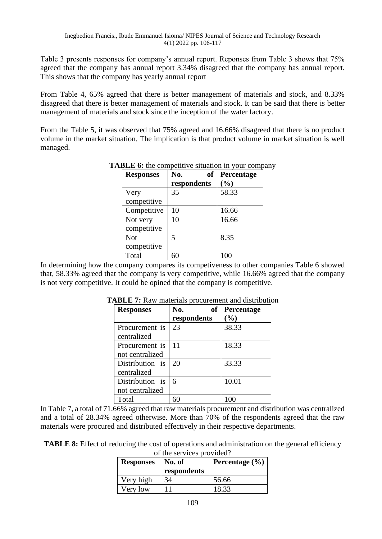Table 3 presents responses for company's annual report. Reponses from Table 3 shows that 75% agreed that the company has annual report 3.34% disagreed that the company has annual report. This shows that the company has yearly annual report

From Table 4, 65% agreed that there is better management of materials and stock, and 8.33% disagreed that there is better management of materials and stock. It can be said that there is better management of materials and stock since the inception of the water factory.

From the Table 5, it was observed that 75% agreed and 16.66% disagreed that there is no product volume in the market situation. The implication is that product volume in market situation is well managed.

| <b>Responses</b> | <b>of</b><br>No. | Percentage |
|------------------|------------------|------------|
|                  | respondents      | (%)        |
| Very             | 35               | 58.33      |
| competitive      |                  |            |
| Competitive      | 10               | 16.66      |
| Not very         | 10               | 16.66      |
| competitive      |                  |            |
| <b>Not</b>       | 5                | 8.35       |
| competitive      |                  |            |
| Total            | 60               | 100        |

**TABLE 6:** the competitive situation in your company

In determining how the company compares its competiveness to other companies Table 6 showed that, 58.33% agreed that the company is very competitive, while 16.66% agreed that the company is not very competitive. It could be opined that the company is competitive.

| <b>Responses</b> | No.<br>of   | Percentage |
|------------------|-------------|------------|
|                  | respondents | (%)        |
| Procurement is   | 23          | 38.33      |
| centralized      |             |            |
| Procurement is   | 11          | 18.33      |
| not centralized  |             |            |
| Distribution is  | 20          | 33.33      |
| centralized      |             |            |
| Distribution is  | 6           | 10.01      |
| not centralized  |             |            |
| Total            |             |            |

**TABLE 7:** Raw materials procurement and distribution

In Table 7, a total of 71.66% agreed that raw materials procurement and distribution was centralized and a total of 28.34% agreed otherwise. More than 70% of the respondents agreed that the raw materials were procured and distributed effectively in their respective departments.

**TABLE 8:** Effect of reducing the cost of operations and administration on the general efficiency of the services provided?

| <b>Responses</b> | No. of<br>respondents | Percentage $(\% )$ |
|------------------|-----------------------|--------------------|
| Very high        | 34                    | 56.66              |
| Very low         |                       | 18.33              |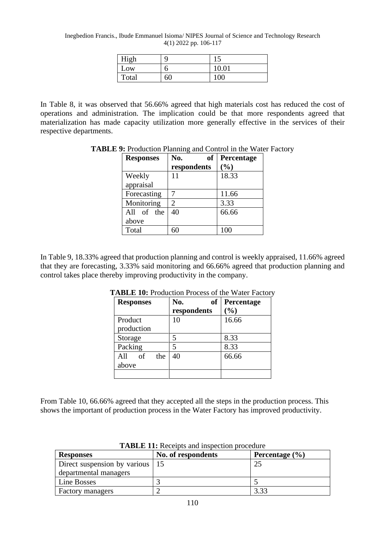Inegbedion Francis., Ibude Emmanuel Isioma/ NIPES Journal of Science and Technology Research 4(1) 2022 pp. 106-117

| High  |    | ⊥J    |
|-------|----|-------|
| Low   |    | 10.01 |
| Total | 60 | 100   |

In Table 8, it was observed that 56.66% agreed that high materials cost has reduced the cost of operations and administration. The implication could be that more respondents agreed that materialization has made capacity utilization more generally effective in the services of their respective departments.

| <b>Responses</b>    | <b>of</b><br>No.<br>respondents | Percentage<br>(%) |
|---------------------|---------------------------------|-------------------|
| Weekly<br>appraisal | 11                              | 18.33             |
| Forecasting         |                                 | 11.66             |
| Monitoring          | 2                               | 3.33              |
| All of the<br>above | 40                              | 66.66             |
| Total               |                                 | 100               |

**TABLE 9:** Production Planning and Control in the Water Factory

In Table 9, 18.33% agreed that production planning and control is weekly appraised, 11.66% agreed that they are forecasting, 3.33% said monitoring and 66.66% agreed that production planning and control takes place thereby improving productivity in the company.

| <b>Responses</b> | No.<br><b>of</b> | Percentage |
|------------------|------------------|------------|
|                  | respondents      | (%)        |
| Product          | 10               | 16.66      |
| production       |                  |            |
| Storage          | 5                | 8.33       |
| Packing          | 5                | 8.33       |
| All<br>of<br>the | 40               | 66.66      |
| above            |                  |            |
|                  |                  |            |

**TABLE 10:** Production Process of the Water Factory

From Table 10, 66.66% agreed that they accepted all the steps in the production process. This shows the important of production process in the Water Factory has improved productivity.

| <b>Responses</b>                  | No. of respondents | Percentage $(\% )$ |
|-----------------------------------|--------------------|--------------------|
| Direct suspension by various   15 |                    | 25                 |
| departmental managers             |                    |                    |
| Line Bosses                       |                    |                    |
| <b>Factory managers</b>           |                    | 3.33               |

**TABLE 11:** Receipts and inspection procedure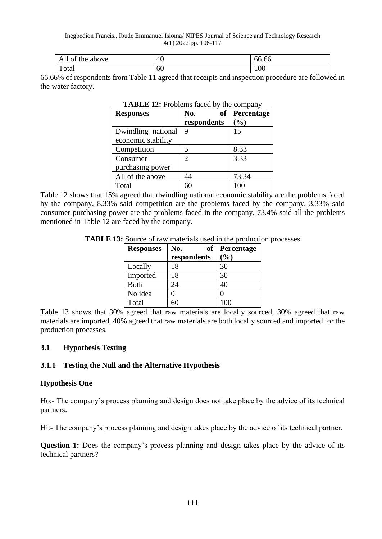#### Inegbedion Francis., Ibude Emmanuel Isioma/ NIPES Journal of Science and Technology Research 4(1) 2022 pp. 106-117

| - -<br>above<br>ΟÌ<br>the<br>All | 40 | $\epsilon$<br>00.00 |
|----------------------------------|----|---------------------|
| $\mathbf{r}$<br>`otal            | 60 | 100                 |

66.66% of respondents from Table 11 agreed that receipts and inspection procedure are followed in the water factory.

| <b>Responses</b>   | No.<br>of   | Percentage |
|--------------------|-------------|------------|
|                    | respondents | (%)        |
| Dwindling national | 9           | 15         |
| economic stability |             |            |
| Competition        | 5           | 8.33       |
| Consumer           | 2           | 3.33       |
| purchasing power   |             |            |
| All of the above   | 44          | 73.34      |
| Total              |             |            |

#### **TABLE 12:** Problems faced by the company

Table 12 shows that 15% agreed that dwindling national economic stability are the problems faced by the company, 8.33% said competition are the problems faced by the company, 3.33% said consumer purchasing power are the problems faced in the company, 73.4% said all the problems mentioned in Table 12 are faced by the company.

| TABLE 13: Source of raw materials used in the production processes |  |  |  |
|--------------------------------------------------------------------|--|--|--|
|--------------------------------------------------------------------|--|--|--|

| <b>Responses</b> | of<br>No.   | Percentage |
|------------------|-------------|------------|
|                  | respondents | (%)        |
| Locally          | 18          | 30         |
| Imported         | 18          | 30         |
| <b>Both</b>      | 24          | 40         |
| No idea          |             |            |
| Total            |             | 100        |

Table 13 shows that 30% agreed that raw materials are locally sourced, 30% agreed that raw materials are imported, 40% agreed that raw materials are both locally sourced and imported for the production processes.

# **3.1 Hypothesis Testing**

# **3.1.1 Testing the Null and the Alternative Hypothesis**

### **Hypothesis One**

Ho:- The company's process planning and design does not take place by the advice of its technical partners.

Hi:- The company's process planning and design takes place by the advice of its technical partner.

**Question 1:** Does the company's process planning and design takes place by the advice of its technical partners?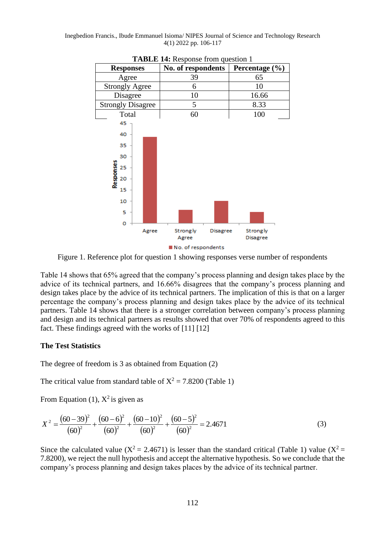Inegbedion Francis., Ibude Emmanuel Isioma/ NIPES Journal of Science and Technology Research 4(1) 2022 pp. 106-117



**TABLE 14:** Response from question 1

Figure 1. Reference plot for question 1 showing responses verse number of respondents

Table 14 shows that 65% agreed that the company's process planning and design takes place by the advice of its technical partners, and 16.66% disagrees that the company's process planning and design takes place by the advice of its technical partners. The implication of this is that on a larger percentage the company's process planning and design takes place by the advice of its technical partners. Table 14 shows that there is a stronger correlation between company's process planning and design and its technical partners as results showed that over 70% of respondents agreed to this fact. These findings agreed with the works of [11] [12]

### **The Test Statistics**

The degree of freedom is 3 as obtained from Equation (2)

The critical value from standard table of  $X^2 = 7.8200$  (Table 1)

From Equation (1),  $X^2$  is given as

$$
X^{2} = \frac{(60 - 39)^{2}}{(60)^{2}} + \frac{(60 - 6)^{2}}{(60)^{2}} + \frac{(60 - 10)^{2}}{(60)^{2}} + \frac{(60 - 5)^{2}}{(60)^{2}} = 2.4671
$$
 (3)

Since the calculated value ( $X^2 = 2.4671$ ) is lesser than the standard critical (Table 1) value ( $X^2 =$ 7.8200), we reject the null hypothesis and accept the alternative hypothesis. So we conclude that the company's process planning and design takes places by the advice of its technical partner.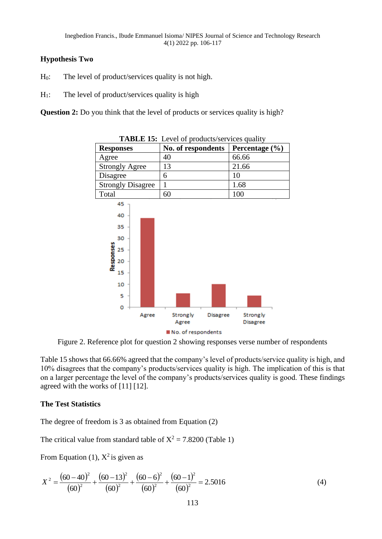# **Hypothesis Two**

- $H_0$ : The level of product/services quality is not high.
- $H_1$ : The level of product/services quality is high

**Question 2:** Do you think that the level of products or services quality is high?



**TABLE 15:** Level of products/services quality

Figure 2. Reference plot for question 2 showing responses verse number of respondents

Table 15 shows that 66.66% agreed that the company's level of products/service quality is high, and 10% disagrees that the company's products/services quality is high. The implication of this is that on a larger percentage the level of the company's products/services quality is good. These findings agreed with the works of [11] [12].

# **The Test Statistics**

The degree of freedom is 3 as obtained from Equation (2)

The critical value from standard table of  $X^2 = 7.8200$  (Table 1)

From Equation (1),  $X^2$  is given as

$$
X^{2} = \frac{(60 - 40)^{2}}{(60)^{2}} + \frac{(60 - 13)^{2}}{(60)^{2}} + \frac{(60 - 6)^{2}}{(60)^{2}} + \frac{(60 - 1)^{2}}{(60)^{2}} = 2.5016
$$
 (4)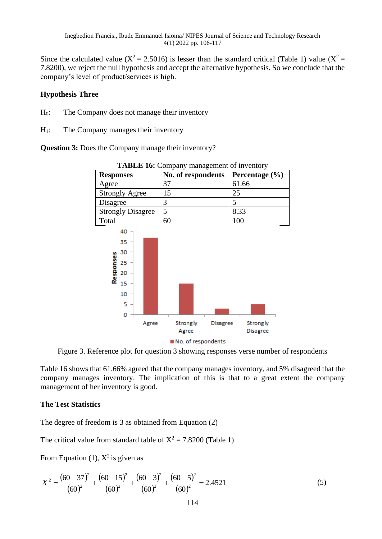Since the calculated value ( $X^2 = 2.5016$ ) is lesser than the standard critical (Table 1) value ( $X^2 =$ 7.8200), we reject the null hypothesis and accept the alternative hypothesis. So we conclude that the company's level of product/services is high.

# **Hypothesis Three**

- H0: The Company does not manage their inventory
- H1: The Company manages their inventory

**Question 3:** Does the Company manage their inventory?



**TABLE 16:** Company management of inventory

Figure 3. Reference plot for question 3 showing responses verse number of respondents

Table 16 shows that 61.66% agreed that the company manages inventory, and 5% disagreed that the company manages inventory. The implication of this is that to a great extent the company management of her inventory is good.

# **The Test Statistics**

The degree of freedom is 3 as obtained from Equation (2)

The critical value from standard table of  $X^2 = 7.8200$  (Table 1)

From Equation (1),  $X^2$  is given as

$$
X^{2} = \frac{(60 - 37)^{2}}{(60)^{2}} + \frac{(60 - 15)^{2}}{(60)^{2}} + \frac{(60 - 3)^{2}}{(60)^{2}} + \frac{(60 - 5)^{2}}{(60)^{2}} = 2.4521
$$
 (5)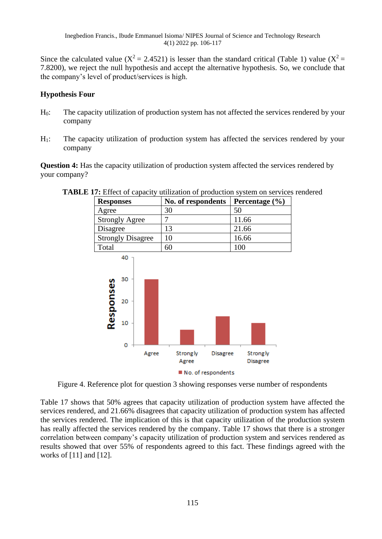Since the calculated value ( $X^2 = 2.4521$ ) is lesser than the standard critical (Table 1) value ( $X^2 =$ 7.8200), we reject the null hypothesis and accept the alternative hypothesis. So, we conclude that the company's level of product/services is high.

# **Hypothesis Four**

- H0: The capacity utilization of production system has not affected the services rendered by your company
- H1: The capacity utilization of production system has affected the services rendered by your company

**Question 4:** Has the capacity utilization of production system affected the services rendered by your company?



**TABLE 17:** Effect of capacity utilization of production system on services rendered<br>Responses <br>No. of respondents Percentage (%)

Figure 4. Reference plot for question 3 showing responses verse number of respondents

Table 17 shows that 50% agrees that capacity utilization of production system have affected the services rendered, and 21.66% disagrees that capacity utilization of production system has affected the services rendered. The implication of this is that capacity utilization of the production system has really affected the services rendered by the company. Table 17 shows that there is a stronger correlation between company's capacity utilization of production system and services rendered as results showed that over 55% of respondents agreed to this fact. These findings agreed with the works of [11] and [12].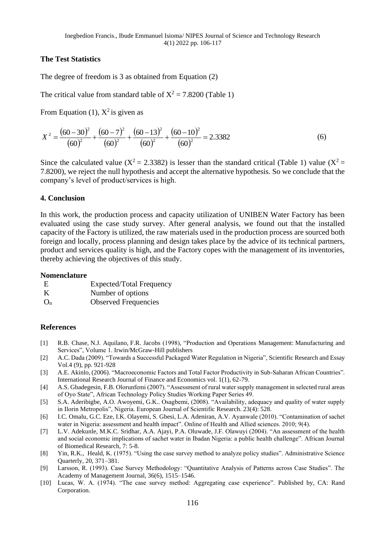# **The Test Statistics**

The degree of freedom is 3 as obtained from Equation (2)

The critical value from standard table of  $X^2 = 7.8200$  (Table 1)

From Equation (1),  $X^2$  is given as

$$
X^{2} = \frac{(60 - 30)^{2}}{(60)^{2}} + \frac{(60 - 7)^{2}}{(60)^{2}} + \frac{(60 - 13)^{2}}{(60)^{2}} + \frac{(60 - 10)^{2}}{(60)^{2}} = 2.3382
$$
 (6)

Since the calculated value ( $X^2 = 2.3382$ ) is lesser than the standard critical (Table 1) value ( $X^2 =$ 7.8200), we reject the null hypothesis and accept the alternative hypothesis. So we conclude that the company's level of product/services is high.

# **4. Conclusion**

In this work, the production process and capacity utilization of UNIBEN Water Factory has been evaluated using the case study survey. After general analysis, we found out that the installed capacity of the Factory is utilized, the raw materials used in the production process are sourced both foreign and locally, process planning and design takes place by the advice of its technical partners, product and services quality is high, and the Factory copes with the management of its inventories, thereby achieving the objectives of this study.

# **Nomenclature**

| E     | <b>Expected/Total Frequency</b> |
|-------|---------------------------------|
| K     | Number of options               |
| $O_n$ | <b>Observed Frequencies</b>     |

# **References**

- [1] [R.B. Chase,](https://www.google.com.ng/search?tbo=p&tbm=bks&q=inauthor:%22Richard+B.+Chase%22) [N.J. Aquilano,](https://www.google.com.ng/search?tbo=p&tbm=bks&q=inauthor:%22Nicholas+J.+Aquilano%22) F.R. [Jacobs](https://www.google.com.ng/search?tbo=p&tbm=bks&q=inauthor:%22F.+Robert+Jacobs%22) (1998), "Production and Operations Management: Manufacturing and Services", Volume 1. Irwin/McGraw-Hill publishers
- [2] A.C. Dada (2009). "Towards a Successful Packaged Water Regulation in Nigeria"*,* Scientific Research and Essay Vol.4 (9), pp. 921-928
- [3] A.E. Akinlo, (2006). "Macroeconomic Factors and Total Factor Productivity in Sub-Saharan African Countries". International Research Journal of Finance and Economics vol. 1(1), 62-79.
- [4] A.S. Gbadegesin, F.B. Olorunfemi (2007). "Assessment of rural water supply management in selected rural areas of Oyo State", African Technology Policy Studies Working Paper Series 49.
- [5] S.A. Aderibigbe, A.O. Awoyemi, G.K.. Osagbemi, (2008). "Availability, adequacy and quality of water supply in Ilorin Metropolis", Nigeria. European Journal of Scientific Research. 23(4): 528.
- [6] I.C. Omalu, G.C. Eze, I.K. Olayemi, S. Gbesi, L.A. Adeniran, A.V. Ayanwale (2010). "Contamination of sachet water in Nigeria: assessment and health impact". Online of Health and Allied sciences. 2010; 9(4).
- [7] L.V. Adekunle, M.K.C. Sridhar, A.A. Ajayi, P.A. Oluwade, J.F. Olawuyi (2004). "An assessment of the health and social economic implications of sachet water in Ibadan Nigeria: a public health challenge". African Journal of Biomedical Research, 7: 5-8.
- [8] Yin, R.K., Heald, K. (1975). "Using the case survey method to analyze policy studies". Administrative Science Quarterly, 20, 371–381.
- [9] Larsson, R. (1993). Case Survey Methodology: "Quantitative Analysis of Patterns across Case Studies". The Academy of Management Journal, 36(6), 1515–1546.
- [10] Lucas, W. A. (1974). "The case survey method: Aggregating case experience". Published by, CA: Rand Corporation.